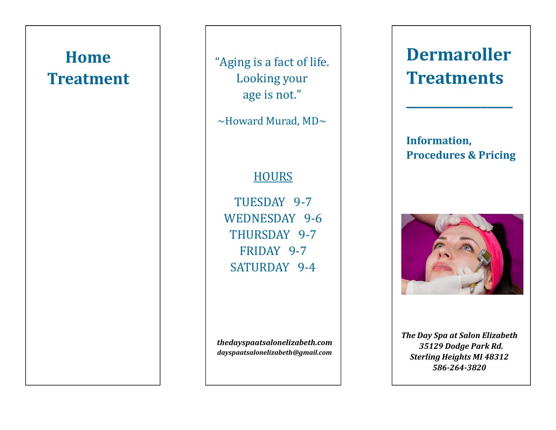## **Home Treatment**

"Aging is a fact of life. Looking your age is not."

 $\sim$ Howard Murad, MD $\sim$ 

### **HOURS**

TUESDAY 9-7 WEDNESDAY 9-6 THURSDAY 9-7 FRIDAY 9-7 SATURDAY 9-4

*thedayspaatsalonelizabeth.com dayspaatsalonelizabeth@gmail.com* 

# **DermarollerTreatments**

**Information, Procedures & Pricing** 

**\_\_\_\_\_\_\_\_\_\_\_\_\_\_\_\_\_** 



**The Day Spa at Salon Elizabeth**  *35129 Dodge Park Rd.* **Sterling Heights MI 48312** *586-264-3820*